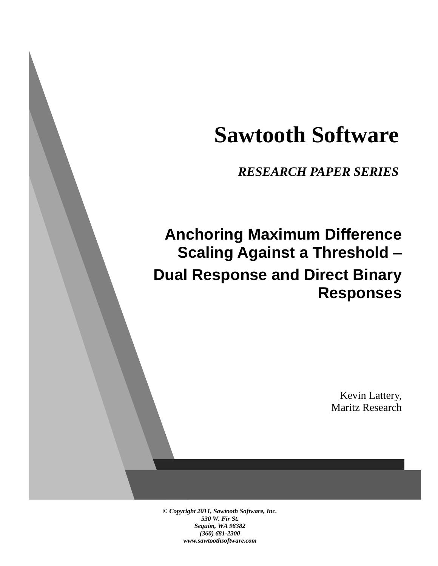# **Sawtooth Software**

*RESEARCH PAPER SERIES*

## **Anchoring Maximum Difference Scaling Against a Threshold – Dual Response and Direct Binary Responses**

Kevin Lattery, Maritz Research

*© Copyright 2011, Sawtooth Software, Inc. 530 W. Fir St. Sequim, WA 98382 (360) 681-2300 www.sawtoothsoftware.com*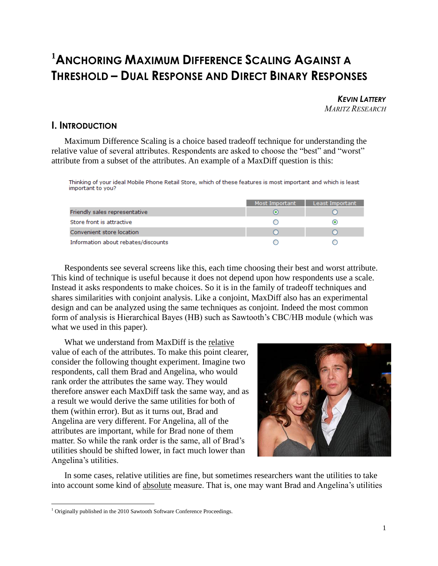### **<sup>1</sup>ANCHORING MAXIMUM DIFFERENCE SCALING AGAINST A THRESHOLD – DUAL RESPONSE AND DIRECT BINARY RESPONSES**

**KEVIN LATTERY** *MARITZ RESEARCH*

#### **I. INTRODUCTION**

Maximum Difference Scaling is a choice based tradeoff technique for understanding the relative value of several attributes. Respondents are asked to choose the "best" and "worst" attribute from a subset of the attributes. An example of a MaxDiff question is this:

Thinking of your ideal Mobile Phone Retail Store, which of these features is most important and which is least important to you?

|                                     | Most Important | Least Important |
|-------------------------------------|----------------|-----------------|
| Friendly sales representative       |                |                 |
| Store front is attractive           |                |                 |
| Convenient store location           |                |                 |
| Information about rebates/discounts |                |                 |

Respondents see several screens like this, each time choosing their best and worst attribute. This kind of technique is useful because it does not depend upon how respondents use a scale. Instead it asks respondents to make choices. So it is in the family of tradeoff techniques and shares similarities with conjoint analysis. Like a conjoint, MaxDiff also has an experimental design and can be analyzed using the same techniques as conjoint. Indeed the most common form of analysis is Hierarchical Bayes (HB) such as Sawtooth's CBC/HB module (which was what we used in this paper).

What we understand from MaxDiff is the relative value of each of the attributes. To make this point clearer, consider the following thought experiment. Imagine two respondents, call them Brad and Angelina, who would rank order the attributes the same way. They would therefore answer each MaxDiff task the same way, and as a result we would derive the same utilities for both of them (within error). But as it turns out, Brad and Angelina are very different. For Angelina, all of the attributes are important, while for Brad none of them matter. So while the rank order is the same, all of Brad's utilities should be shifted lower, in fact much lower than Angelina's utilities.



In some cases, relative utilities are fine, but sometimes researchers want the utilities to take into account some kind of absolute measure. That is, one may want Brad and Angelina's utilities

 $\overline{a}$ 

<sup>&</sup>lt;sup>1</sup> Originally published in the 2010 Sawtooth Software Conference Proceedings.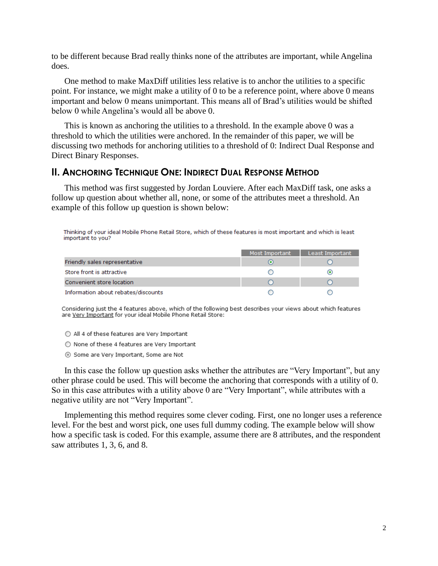to be different because Brad really thinks none of the attributes are important, while Angelina does.

One method to make MaxDiff utilities less relative is to anchor the utilities to a specific point. For instance, we might make a utility of 0 to be a reference point, where above 0 means important and below 0 means unimportant. This means all of Brad's utilities would be shifted below 0 while Angelina's would all be above 0.

This is known as anchoring the utilities to a threshold. In the example above 0 was a threshold to which the utilities were anchored. In the remainder of this paper, we will be discussing two methods for anchoring utilities to a threshold of 0: Indirect Dual Response and Direct Binary Responses.

#### **II. ANCHORING TECHNIQUE ONE: INDIRECT DUAL RESPONSE METHOD**

This method was first suggested by Jordan Louviere. After each MaxDiff task, one asks a follow up question about whether all, none, or some of the attributes meet a threshold. An example of this follow up question is shown below:

Thinking of your ideal Mobile Phone Retail Store, which of these features is most important and which is least important to you?

|                                     | Most Important | Least Important          |
|-------------------------------------|----------------|--------------------------|
| Friendly sales representative       |                |                          |
| Store front is attractive           |                | $\left( \bullet \right)$ |
| Convenient store location           |                |                          |
| Information about rebates/discounts |                |                          |

Considering just the 4 features above, which of the following best describes your views about which features are Very Important for your ideal Mobile Phone Retail Store:

- All 4 of these features are Very Important
- None of these 4 features are Very Important
- Some are Very Important, Some are Not

In this case the follow up question asks whether the attributes are "Very Important", but any other phrase could be used. This will become the anchoring that corresponds with a utility of 0. So in this case attributes with a utility above 0 are "Very Important", while attributes with a negative utility are not "Very Important".

Implementing this method requires some clever coding. First, one no longer uses a reference level. For the best and worst pick, one uses full dummy coding. The example below will show how a specific task is coded. For this example, assume there are 8 attributes, and the respondent saw attributes 1, 3, 6, and 8.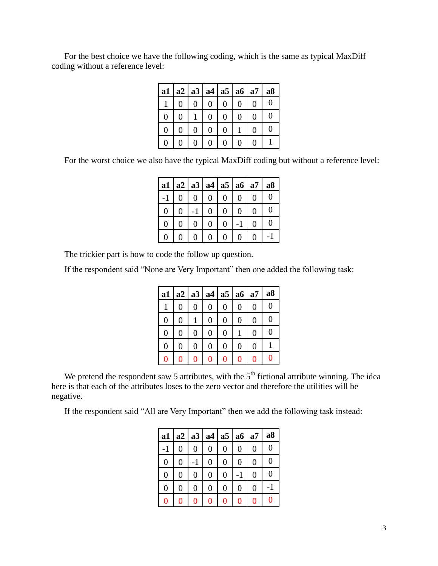For the best choice we have the following coding, which is the same as typical MaxDiff coding without a reference level:

| a1 | a2 a3 a4 a5 a6 a7 |   |   |        |   |   | a <sub>8</sub> |
|----|-------------------|---|---|--------|---|---|----------------|
|    |                   | 0 | 0 | 0      | 0 | 0 | 0              |
| 0  | 0                 |   | 0 | 0      | 0 | 0 |                |
| 0  | 0                 | 0 | 0 | $_{0}$ |   | 0 |                |
|    |                   | 0 | 0 | 0      |   |   |                |

For the worst choice we also have the typical MaxDiff coding but without a reference level:

| a1                |     |                  | a2 a3 a4 a5 a6 a7 |                   | a <sub>8</sub> |
|-------------------|-----|------------------|-------------------|-------------------|----------------|
|                   | ( ) |                  |                   | 0                 | 0              |
| 0                 | 0   | 0                | 0                 | $\mathbf{\Omega}$ | 0              |
| 0                 | 0   | $\left( \right)$ | 0                 | 0                 | ( )            |
| $\mathbf{\Omega}$ | 0   |                  | 0                 | $\mathbf{\Omega}$ |                |

The trickier part is how to code the follow up question.

If the respondent said "None are Very Important" then one added the following task:

| a1             | a2 | a3               | a4             | a <sub>5</sub> | a6             | a7             | a8             |
|----------------|----|------------------|----------------|----------------|----------------|----------------|----------------|
|                | 0  | $\boldsymbol{0}$ | $\overline{0}$ | 0              | $\overline{0}$ | $\overline{0}$ | 0              |
| $\overline{0}$ | 0  |                  | $\overline{0}$ | $\overline{0}$ | $\overline{0}$ | $\overline{0}$ | $\overline{0}$ |
| $\overline{0}$ | 0  | $\overline{0}$   | $\overline{0}$ | $\overline{0}$ |                | $\overline{0}$ | $\overline{0}$ |
| 0              | 0  | $\overline{0}$   | $\overline{0}$ | $\overline{0}$ | $\overline{0}$ | $\overline{0}$ |                |
|                | 0  | 0                | 0              | 0              | 0              | 0              | 0              |

We pretend the respondent saw 5 attributes, with the  $5<sup>th</sup>$  fictional attribute winning. The idea here is that each of the attributes loses to the zero vector and therefore the utilities will be negative.

If the respondent said "All are Very Important" then we add the following task instead:

|   |                |   |                | a1   a2   a3   a4   a5   a6   a7 |                  |                | a <sub>8</sub> |
|---|----------------|---|----------------|----------------------------------|------------------|----------------|----------------|
|   | 0              | 0 | $\overline{0}$ | 0                                | 0                | 0              | 0              |
| 0 | $\overline{0}$ |   | $\overline{0}$ | $\overline{0}$                   | 0                | $\overline{0}$ | 0              |
| 0 | 0              | 0 | $\overline{0}$ | $\overline{0}$                   |                  | $\overline{0}$ | 0              |
| 0 | $\overline{0}$ | 0 | $\overline{0}$ | 0                                | $\boldsymbol{0}$ | $\overline{0}$ |                |
| 0 | 0              | 0 | 0              | O                                | 0                | 0              | 0              |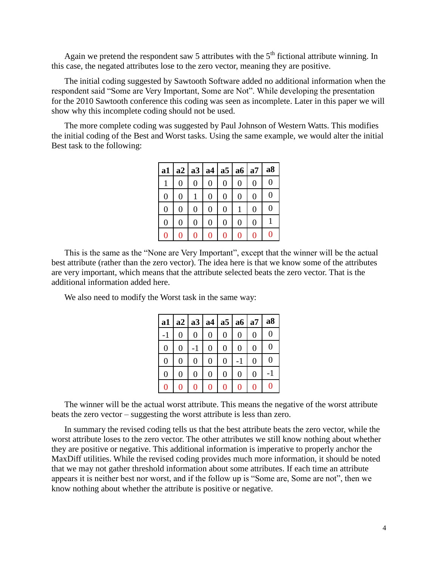Again we pretend the respondent saw 5 attributes with the  $5<sup>th</sup>$  fictional attribute winning. In this case, the negated attributes lose to the zero vector, meaning they are positive.

The initial coding suggested by Sawtooth Software added no additional information when the respondent said "Some are Very Important, Some are Not". While developing the presentation for the 2010 Sawtooth conference this coding was seen as incomplete. Later in this paper we will show why this incomplete coding should not be used.

The more complete coding was suggested by Paul Johnson of Western Watts. This modifies the initial coding of the Best and Worst tasks. Using the same example, we would alter the initial Best task to the following:

| a1             |                |                |                | a2   a3   a4   a5   a6 |                | a7             | a8 |
|----------------|----------------|----------------|----------------|------------------------|----------------|----------------|----|
|                | 0              | 0              | $\overline{0}$ | 0                      | 0              | $\overline{0}$ | 0  |
| $\overline{0}$ | $\overline{0}$ |                | $\overline{0}$ | $\overline{0}$         | $\overline{0}$ | $\overline{0}$ | 0  |
| 0              | 0              | $\overline{0}$ | $\overline{0}$ | $\overline{0}$         |                | $\overline{0}$ | 0  |
| 0              | 0              | $\overline{0}$ | $\overline{0}$ | $\overline{0}$         | 0              | $\overline{0}$ |    |
|                | 0              | 0              | 0              | 0                      | 0              | 0              | 0  |

This is the same as the "None are Very Important", except that the winner will be the actual best attribute (rather than the zero vector). The idea here is that we know some of the attributes are very important, which means that the attribute selected beats the zero vector. That is the additional information added here.

We also need to modify the Worst task in the same way:

| a1   | a2 | a3             | a4 a5          |   | a6 | a7             | a8               |
|------|----|----------------|----------------|---|----|----------------|------------------|
| $-1$ | 0  | 0              | 0              | 0 | 0  | 0              | 0                |
| 0    | 0  |                | $\overline{0}$ | 0 | 0  | 0              | $\left( \right)$ |
| 0    | 0  | $\overline{0}$ | $\overline{0}$ | 0 |    | 0              | 0                |
| 0    | 0  | 0              | $\overline{0}$ | 0 | 0  | $\overline{0}$ |                  |
| O    |    |                | Λ              | 0 | 0  | 0              | 0                |

The winner will be the actual worst attribute. This means the negative of the worst attribute beats the zero vector – suggesting the worst attribute is less than zero.

In summary the revised coding tells us that the best attribute beats the zero vector, while the worst attribute loses to the zero vector. The other attributes we still know nothing about whether they are positive or negative. This additional information is imperative to properly anchor the MaxDiff utilities. While the revised coding provides much more information, it should be noted that we may not gather threshold information about some attributes. If each time an attribute appears it is neither best nor worst, and if the follow up is "Some are, Some are not", then we know nothing about whether the attribute is positive or negative.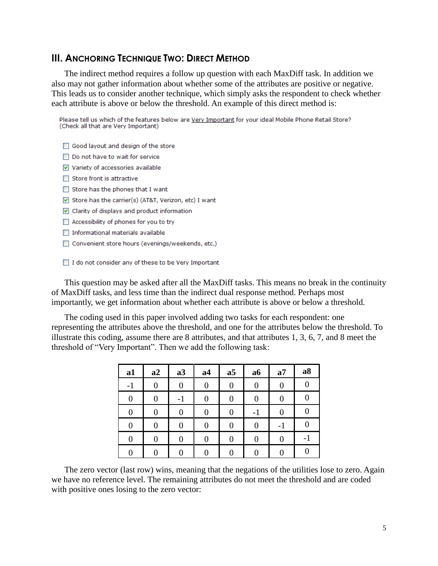#### **III. ANCHORING TECHNIQUE TWO: DIRECT METHOD**

The indirect method requires a follow up question with each MaxDiff task. In addition we also may not gather information about whether some of the attributes are positive or negative. This leads us to consider another technique, which simply asks the respondent to check whether each attribute is above or below the threshold. An example of this direct method is:

Please tell us which of the features below are Very Important for your ideal Mobile Phone Retail Store? (Check all that are Very Important)

- □ Good layout and design of the store
- □ Do not have to wait for service
- Variety of accessories available
- $\Box$  Store front is attractive
- $\Box$  Store has the phones that I want
- $\sqrt{ }$  Store has the carrier(s) (AT&T, Verizon, etc) I want
- $\triangledown$  Clarity of displays and product information
- □ Accessibility of phones for you to try
- □ Informational materials available
- Convenient store hours (evenings/weekends, etc.)

□ I do not consider any of these to be Very Important

This question may be asked after all the MaxDiff tasks. This means no break in the continuity of MaxDiff tasks, and less time than the indirect dual response method. Perhaps most importantly, we get information about whether each attribute is above or below a threshold.

The coding used in this paper involved adding two tasks for each respondent: one representing the attributes above the threshold, and one for the attributes below the threshold. To illustrate this coding, assume there are 8 attributes, and that attributes 1, 3, 6, 7, and 8 meet the threshold of "Very Important". Then we add the following task:

| a1               | a2 | a3 | a <sub>4</sub> | a <sub>5</sub>   | a6 | a7  | a8       |
|------------------|----|----|----------------|------------------|----|-----|----------|
| $-1$             | 0  | 0  | 0              | $\boldsymbol{0}$ | 0  | 0   | 0        |
| 0                | 0  | -1 | 0              | 0                | 0  | 0   |          |
| $\overline{0}$   | 0  | 0  | 0              | 0                | -1 | 0   | 0        |
| $\boldsymbol{0}$ | 0  | 0  | $\theta$       | 0                | 0  | - 1 | $\left($ |
| 0                | 0  | 0  |                | 0                | 0  |     | Ξ.       |
|                  |    |    |                |                  |    |     |          |

The zero vector (last row) wins, meaning that the negations of the utilities lose to zero. Again we have no reference level. The remaining attributes do not meet the threshold and are coded with positive ones losing to the zero vector: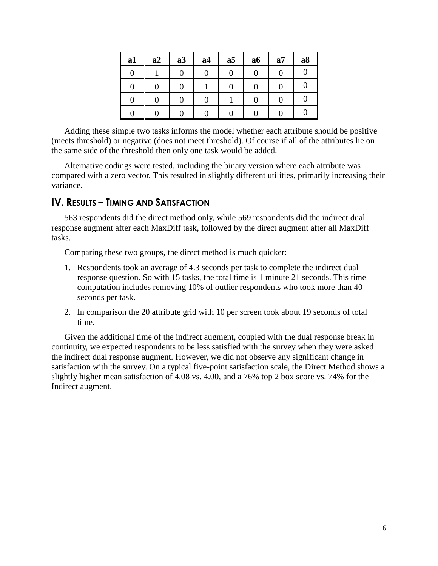| a1 | a2 | a3 | a <sub>4</sub> | a <sub>5</sub> | a6 | a7 | a8 |
|----|----|----|----------------|----------------|----|----|----|
|    |    | I) |                | 0              |    |    |    |
|    |    |    |                |                |    |    |    |
|    |    |    |                |                |    |    |    |
|    |    |    |                |                |    |    |    |

Adding these simple two tasks informs the model whether each attribute should be positive (meets threshold) or negative (does not meet threshold). Of course if all of the attributes lie on the same side of the threshold then only one task would be added.

Alternative codings were tested, including the binary version where each attribute was compared with a zero vector. This resulted in slightly different utilities, primarily increasing their variance.

#### **IV. RESULTS – TIMING AND SATISFACTION**

563 respondents did the direct method only, while 569 respondents did the indirect dual response augment after each MaxDiff task, followed by the direct augment after all MaxDiff tasks.

Comparing these two groups, the direct method is much quicker:

- 1. Respondents took an average of 4.3 seconds per task to complete the indirect dual response question. So with 15 tasks, the total time is 1 minute 21 seconds. This time computation includes removing 10% of outlier respondents who took more than 40 seconds per task.
- 2. In comparison the 20 attribute grid with 10 per screen took about 19 seconds of total time.

Given the additional time of the indirect augment, coupled with the dual response break in continuity, we expected respondents to be less satisfied with the survey when they were asked the indirect dual response augment. However, we did not observe any significant change in satisfaction with the survey. On a typical five-point satisfaction scale, the Direct Method shows a slightly higher mean satisfaction of 4.08 vs. 4.00, and a 76% top 2 box score vs. 74% for the Indirect augment.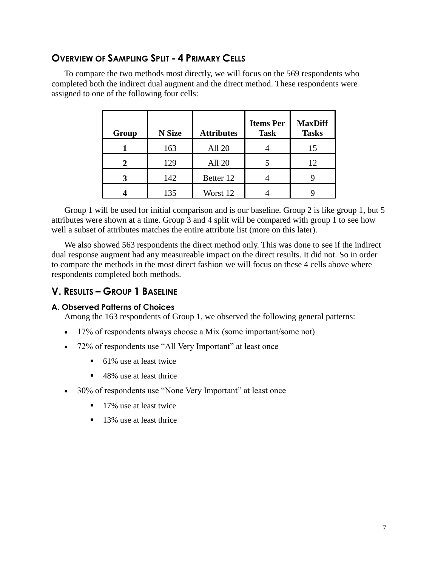#### **OVERVIEW OF SAMPLING SPLIT - 4 PRIMARY CELLS**

To compare the two methods most directly, we will focus on the 569 respondents who completed both the indirect dual augment and the direct method. These respondents were assigned to one of the following four cells:

| Group | <b>N</b> Size | <b>Attributes</b> | <b>Items Per</b><br><b>Task</b> | <b>MaxDiff</b><br><b>Tasks</b> |
|-------|---------------|-------------------|---------------------------------|--------------------------------|
|       | 163           | All 20            |                                 | 15                             |
|       | 129           | All 20            |                                 | 12                             |
|       | 142           | Better 12         |                                 |                                |
|       | 135           | Worst 12          |                                 |                                |

Group 1 will be used for initial comparison and is our baseline. Group 2 is like group 1, but 5 attributes were shown at a time. Group 3 and 4 split will be compared with group 1 to see how well a subset of attributes matches the entire attribute list (more on this later).

We also showed 563 respondents the direct method only. This was done to see if the indirect dual response augment had any measureable impact on the direct results. It did not. So in order to compare the methods in the most direct fashion we will focus on these 4 cells above where respondents completed both methods.

#### **V. RESULTS – GROUP 1 BASELINE**

#### **A. Observed Patterns of Choices**

Among the 163 respondents of Group 1, we observed the following general patterns:

- 17% of respondents always choose a Mix (some important/some not)
- 72% of respondents use "All Very Important" at least once
	- 61% use at least twice
	- 48% use at least thrice
- 30% of respondents use "None Very Important" at least once
	- 17% use at least twice
	- 13% use at least thrice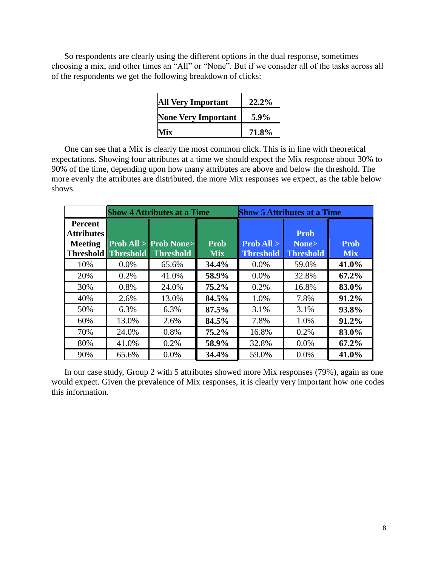So respondents are clearly using the different options in the dual response, sometimes choosing a mix, and other times an "All" or "None". But if we consider all of the tasks across all of the respondents we get the following breakdown of clicks:

| <b>All Very Important</b>  | 22.2%   |
|----------------------------|---------|
| <b>None Very Important</b> | $5.9\%$ |
| Mix                        | 71.8%   |

One can see that a Mix is clearly the most common click. This is in line with theoretical expectations. Showing four attributes at a time we should expect the Mix response about 30% to 90% of the time, depending upon how many attributes are above and below the threshold. The more evenly the attributes are distributed, the more Mix responses we expect, as the table below shows.

|                                                                           | <b>Show 4 Attributes at a Time</b> |                                                          |                    | <b>Show 5 Attributes at a Time</b> |                                          |                           |
|---------------------------------------------------------------------------|------------------------------------|----------------------------------------------------------|--------------------|------------------------------------|------------------------------------------|---------------------------|
| <b>Percent</b><br><b>Attributes</b><br><b>Meeting</b><br><b>Threshold</b> | <b>Threshold</b>                   | $\text{Prob All} > \text{Prob None}$<br><b>Threshold</b> | Prob<br><b>Mix</b> | Prob All ><br><b>Threshold</b>     | <b>Prob</b><br>None><br><b>Threshold</b> | <b>Prob</b><br><b>Mix</b> |
| 10%                                                                       | $0.0\%$                            | 65.6%                                                    | 34.4%              | $0.0\%$                            | 59.0%                                    | 41.0%                     |
| 20%                                                                       | 0.2%                               | 41.0%                                                    | 58.9%              | $0.0\%$                            | 32.8%                                    | 67.2%                     |
| 30%                                                                       | 0.8%                               | 24.0%                                                    | $75.2\%$           | 0.2%                               | 16.8%                                    | 83.0%                     |
| 40%                                                                       | 2.6%                               | 13.0%                                                    | 84.5%              | 1.0%                               | 7.8%                                     | 91.2%                     |
| 50%                                                                       | 6.3%                               | 6.3%                                                     | 87.5%              | 3.1%                               | 3.1%                                     | 93.8%                     |
| 60%                                                                       | 13.0%                              | 2.6%                                                     | 84.5%              | 7.8%                               | 1.0%                                     | 91.2%                     |
| 70%                                                                       | 24.0%                              | 0.8%                                                     | 75.2%              | 16.8%                              | 0.2%                                     | 83.0%                     |
| 80%                                                                       | 41.0%                              | 0.2%                                                     | 58.9%              | 32.8%                              | $0.0\%$                                  | 67.2%                     |
| 90%                                                                       | 65.6%                              | 0.0%                                                     | 34.4%              | 59.0%                              | $0.0\%$                                  | 41.0%                     |

In our case study, Group 2 with 5 attributes showed more Mix responses (79%), again as one would expect. Given the prevalence of Mix responses, it is clearly very important how one codes this information.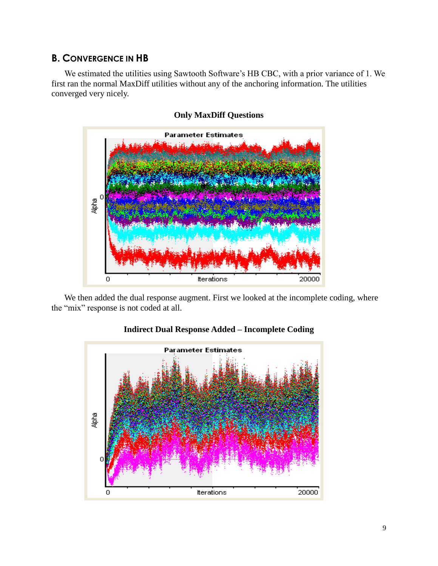#### **B. CONVERGENCE IN HB**

We estimated the utilities using Sawtooth Software's HB CBC, with a prior variance of 1. We first ran the normal MaxDiff utilities without any of the anchoring information. The utilities converged very nicely.



#### **Only MaxDiff Questions**

We then added the dual response augment. First we looked at the incomplete coding, where the "mix" response is not coded at all.



#### **Indirect Dual Response Added – Incomplete Coding**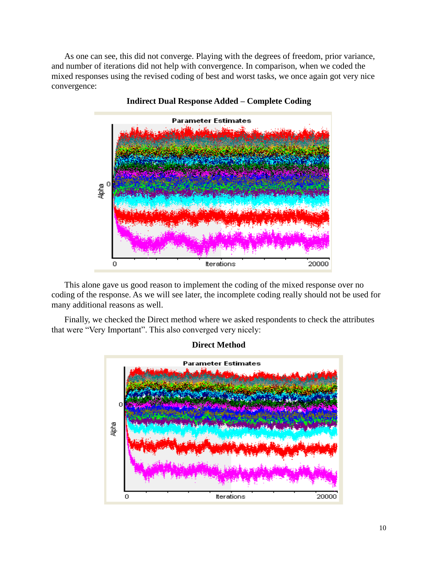As one can see, this did not converge. Playing with the degrees of freedom, prior variance, and number of iterations did not help with convergence. In comparison, when we coded the mixed responses using the revised coding of best and worst tasks, we once again got very nice convergence:



**Indirect Dual Response Added – Complete Coding**

This alone gave us good reason to implement the coding of the mixed response over no coding of the response. As we will see later, the incomplete coding really should not be used for many additional reasons as well.

Finally, we checked the Direct method where we asked respondents to check the attributes that were "Very Important". This also converged very nicely:



**Direct Method**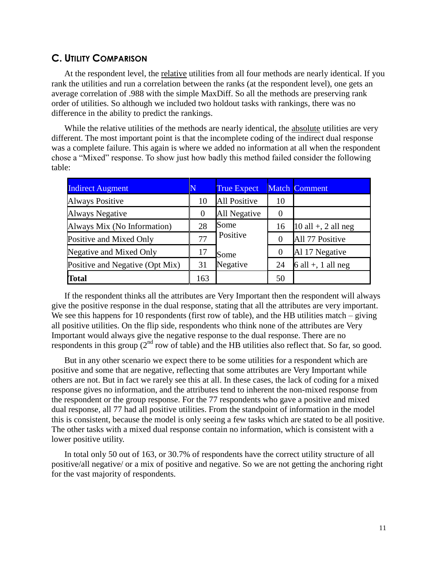#### **C. UTILITY COMPARISON**

At the respondent level, the relative utilities from all four methods are nearly identical. If you rank the utilities and run a correlation between the ranks (at the respondent level), one gets an average correlation of .988 with the simple MaxDiff. So all the methods are preserving rank order of utilities. So although we included two holdout tasks with rankings, there was no difference in the ability to predict the rankings.

While the relative utilities of the methods are nearly identical, the absolute utilities are very different. The most important point is that the incomplete coding of the indirect dual response was a complete failure. This again is where we added no information at all when the respondent chose a "Mixed" response. To show just how badly this method failed consider the following table:

| <b>Indirect Augment</b>         |            | <b>True Expect</b>  |                  | <b>Match Comment</b>  |
|---------------------------------|------------|---------------------|------------------|-----------------------|
| <b>Always Positive</b>          | 10         | <b>All Positive</b> | 10               |                       |
| <b>Always Negative</b>          | $\theta$   | All Negative        | $\left($         |                       |
| Always Mix (No Information)     | Some<br>28 |                     | 16               | $10$ all +, 2 all neg |
| Positive and Mixed Only         | 77         | Positive            | $\theta$         | All 77 Positive       |
| Negative and Mixed Only         | 17         | Some                | $\boldsymbol{0}$ | Al 17 Negative        |
| Positive and Negative (Opt Mix) | 31         | Negative            | 24               | $6$ all +, 1 all neg  |
| <b>Total</b>                    | 163        |                     | 50               |                       |

If the respondent thinks all the attributes are Very Important then the respondent will always give the positive response in the dual response, stating that all the attributes are very important. We see this happens for 10 respondents (first row of table), and the HB utilities match – giving all positive utilities. On the flip side, respondents who think none of the attributes are Very Important would always give the negative response to the dual response. There are no respondents in this group  $(2<sup>nd</sup> row of table)$  and the HB utilities also reflect that. So far, so good.

But in any other scenario we expect there to be some utilities for a respondent which are positive and some that are negative, reflecting that some attributes are Very Important while others are not. But in fact we rarely see this at all. In these cases, the lack of coding for a mixed response gives no information, and the attributes tend to inherent the non-mixed response from the respondent or the group response. For the 77 respondents who gave a positive and mixed dual response, all 77 had all positive utilities. From the standpoint of information in the model this is consistent, because the model is only seeing a few tasks which are stated to be all positive. The other tasks with a mixed dual response contain no information, which is consistent with a lower positive utility.

In total only 50 out of 163, or 30.7% of respondents have the correct utility structure of all positive/all negative/ or a mix of positive and negative. So we are not getting the anchoring right for the vast majority of respondents.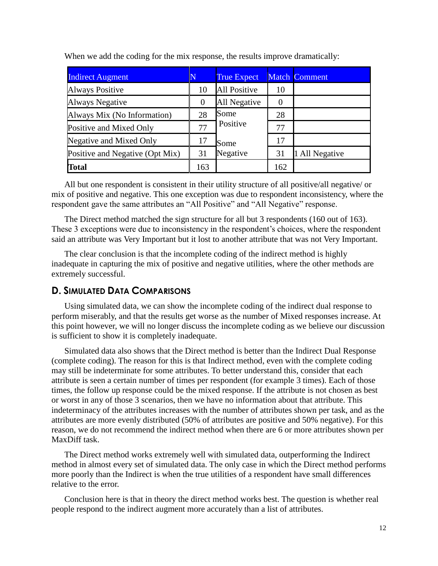| <b>Indirect Augment</b>         | N        | <b>True Expect</b>  |          | <b>Match Comment</b> |
|---------------------------------|----------|---------------------|----------|----------------------|
| <b>Always Positive</b>          | 10       | <b>All Positive</b> | 10       |                      |
| Always Negative                 | $\theta$ | All Negative        | $\left($ |                      |
| Always Mix (No Information)     | 28       | Some                | 28       |                      |
| Positive and Mixed Only         | 77       | Positive            | 77       |                      |
| Negative and Mixed Only         | 17       | Some                | 17       |                      |
| Positive and Negative (Opt Mix) | 31       | Negative            | 31       | All Negative         |
| <b>Total</b>                    | 163      |                     | 162      |                      |

When we add the coding for the mix response, the results improve dramatically:

All but one respondent is consistent in their utility structure of all positive/all negative/ or mix of positive and negative. This one exception was due to respondent inconsistency, where the respondent gave the same attributes an "All Positive" and "All Negative" response.

The Direct method matched the sign structure for all but 3 respondents (160 out of 163). These 3 exceptions were due to inconsistency in the respondent's choices, where the respondent said an attribute was Very Important but it lost to another attribute that was not Very Important.

The clear conclusion is that the incomplete coding of the indirect method is highly inadequate in capturing the mix of positive and negative utilities, where the other methods are extremely successful.

#### **D. SIMULATED DATA COMPARISONS**

Using simulated data, we can show the incomplete coding of the indirect dual response to perform miserably, and that the results get worse as the number of Mixed responses increase. At this point however, we will no longer discuss the incomplete coding as we believe our discussion is sufficient to show it is completely inadequate.

Simulated data also shows that the Direct method is better than the Indirect Dual Response (complete coding). The reason for this is that Indirect method, even with the complete coding may still be indeterminate for some attributes. To better understand this, consider that each attribute is seen a certain number of times per respondent (for example 3 times). Each of those times, the follow up response could be the mixed response. If the attribute is not chosen as best or worst in any of those 3 scenarios, then we have no information about that attribute. This indeterminacy of the attributes increases with the number of attributes shown per task, and as the attributes are more evenly distributed (50% of attributes are positive and 50% negative). For this reason, we do not recommend the indirect method when there are 6 or more attributes shown per MaxDiff task.

The Direct method works extremely well with simulated data, outperforming the Indirect method in almost every set of simulated data. The only case in which the Direct method performs more poorly than the Indirect is when the true utilities of a respondent have small differences relative to the error.

Conclusion here is that in theory the direct method works best. The question is whether real people respond to the indirect augment more accurately than a list of attributes.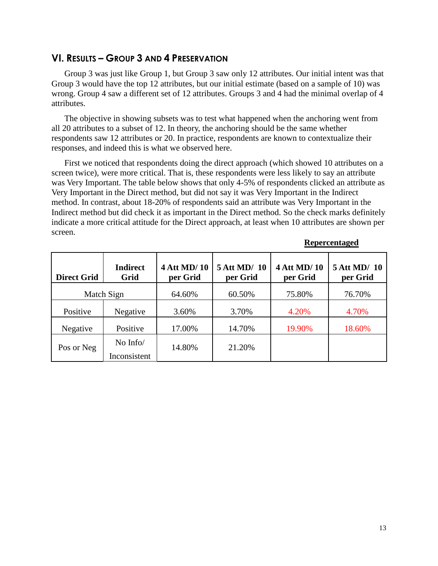#### **VI. RESULTS – GROUP 3 AND 4 PRESERVATION**

Group 3 was just like Group 1, but Group 3 saw only 12 attributes. Our initial intent was that Group 3 would have the top 12 attributes, but our initial estimate (based on a sample of 10) was wrong. Group 4 saw a different set of 12 attributes. Groups 3 and 4 had the minimal overlap of 4 attributes.

The objective in showing subsets was to test what happened when the anchoring went from all 20 attributes to a subset of 12. In theory, the anchoring should be the same whether respondents saw 12 attributes or 20. In practice, respondents are known to contextualize their responses, and indeed this is what we observed here.

First we noticed that respondents doing the direct approach (which showed 10 attributes on a screen twice), were more critical. That is, these respondents were less likely to say an attribute was Very Important. The table below shows that only 4-5% of respondents clicked an attribute as Very Important in the Direct method, but did not say it was Very Important in the Indirect method. In contrast, about 18-20% of respondents said an attribute was Very Important in the Indirect method but did check it as important in the Direct method. So the check marks definitely indicate a more critical attitude for the Direct approach, at least when 10 attributes are shown per screen.

| <b>Direct Grid</b> | <b>Indirect</b><br>Grid  | <b>4 Att MD/10</b><br>per Grid | 5 Att MD/ 10<br>per Grid | <b>4 Att MD/10</b><br>per Grid | 5 Att MD/ 10<br>per Grid |
|--------------------|--------------------------|--------------------------------|--------------------------|--------------------------------|--------------------------|
| Match Sign         |                          | 64.60%                         | 60.50%                   | 75.80%                         | 76.70%                   |
| Positive           | Negative                 | 3.60%                          | 3.70%                    | 4.20%                          | 4.70%                    |
| Negative           | Positive                 | 17.00%                         | 14.70%                   | 19.90%                         | 18.60%                   |
| Pos or Neg         | No Info/<br>Inconsistent | 14.80%                         | 21.20%                   |                                |                          |

#### **Repercentaged**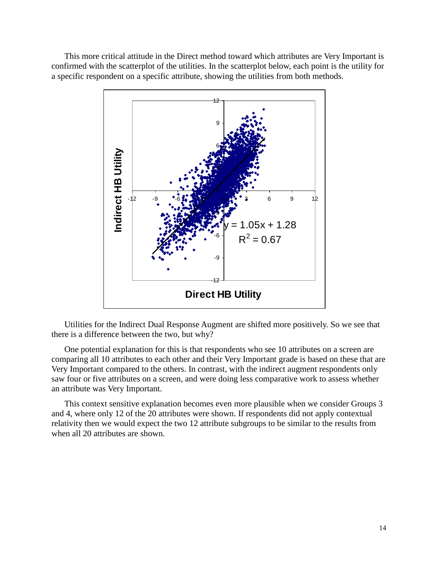This more critical attitude in the Direct method toward which attributes are Very Important is confirmed with the scatterplot of the utilities. In the scatterplot below, each point is the utility for a specific respondent on a specific attribute, showing the utilities from both methods.



Utilities for the Indirect Dual Response Augment are shifted more positively. So we see that there is a difference between the two, but why?

One potential explanation for this is that respondents who see 10 attributes on a screen are comparing all 10 attributes to each other and their Very Important grade is based on these that are Very Important compared to the others. In contrast, with the indirect augment respondents only saw four or five attributes on a screen, and were doing less comparative work to assess whether an attribute was Very Important.

This context sensitive explanation becomes even more plausible when we consider Groups 3 and 4, where only 12 of the 20 attributes were shown. If respondents did not apply contextual relativity then we would expect the two 12 attribute subgroups to be similar to the results from when all 20 attributes are shown.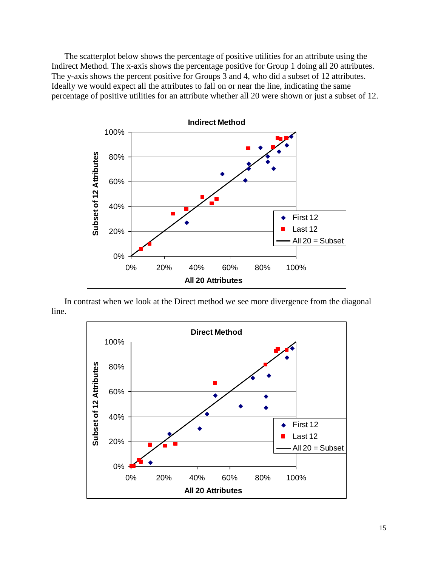The scatterplot below shows the percentage of positive utilities for an attribute using the Indirect Method. The x-axis shows the percentage positive for Group 1 doing all 20 attributes. The y-axis shows the percent positive for Groups 3 and 4, who did a subset of 12 attributes. Ideally we would expect all the attributes to fall on or near the line, indicating the same percentage of positive utilities for an attribute whether all 20 were shown or just a subset of 12.



In contrast when we look at the Direct method we see more divergence from the diagonal line.